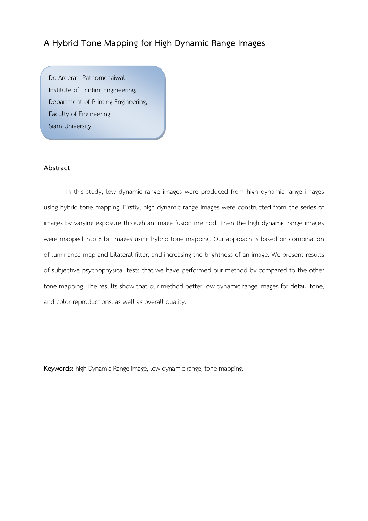# **A Hybrid Tone Mapping for High Dynamic Range Images**

Dr. Areerat Pathomchaiwal Institute of Printing Engineering, Department of Printing Engineering, Faculty of Engineering, Siam University

E-mail: areerat.pathom@gmail.com

# **Abstract**

In this study, low dynamic range images were produced from high dynamic range images using hybrid tone mapping. Firstly, high dynamic range images were constructed from the series of images by varying exposure through an image fusion method. Then the high dynamic range images were mapped into 8 bit images using hybrid tone mapping. Our approach is based on combination of luminance map and bilateral filter, and increasing the brightness of an image. We present results of subjective psychophysical tests that we have performed our method by compared to the other tone mapping. The results show that our method better low dynamic range images for detail, tone, and color reproductions, as well as overall quality.

**Keywords:** high Dynamic Range image, low dynamic range, tone mapping.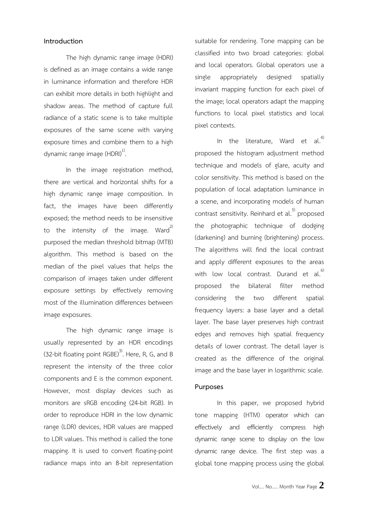### **Introduction**

The high dynamic range image (HDRI) is defined as an image contains a wide range in luminance information and therefore HDR can exhibit more details in both highlight and shadow areas. The method of capture full radiance of a static scene is to take multiple exposures of the same scene with varying exposure times and combine them to a high dynamic range image  $(HDRI)^{1}$ . .

In the image registration method, there are vertical and horizontal shifts for a high dynamic range image composition. In fact, the images have been differently exposed; the method needs to be insensitive to the intensity of the image. Ward<sup>2)</sup> purposed the median threshold bitmap (MTB) algorithm. This method is based on the median of the pixel values that helps the comparison of images taken under different exposure settings by effectively removing most of the illumination differences between image exposures.

The high dynamic range image is usually represented by an HDR encodings (32-bit floating point RGBE)<sup>3)</sup>. Here, R, G, and B represent the intensity of the three color components and E is the common exponent. However, most display devices such as monitors are sRGB encoding (24-bit RGB). In order to reproduce HDRI in the low dynamic range (LDR) devices, HDR values are mapped to LDR values. This method is called the tone mapping. It is used to convert floating-point radiance maps into an 8-bit representation

suitable for rendering. Tone mapping can be classified into two broad categories: global and local operators. Global operators use a single appropriately designed spatially invariant mapping function for each pixel of the image; local operators adapt the mapping functions to local pixel statistics and local pixel contexts.

In the literature, Ward et al.<sup>4</sup> proposed the histogram adjustment method technique and models of glare, acuity and color sensitivity. This method is based on the population of local adaptation luminance in a scene, and incorporating models of human contrast sensitivity. Reinhard et al. 5) proposed the photographic technique of dodging (darkening) and burning (brightening) process. The algorithms will find the local contrast and apply different exposures to the areas with low local contrast. Durand et al. $^{6)}$ proposed the bilateral filter method considering the two different spatial frequency layers: a base layer and a detail layer. The base layer preserves high contrast edges and removes high spatial frequency details of lower contrast. The detail layer is created as the difference of the original image and the base layer in logarithmic scale.

### **Purposes**

In this paper, we proposed hybrid tone mapping (HTM) operator which can effectively and efficiently compress high dynamic range scene to display on the low dynamic range device. The first step was a global tone mapping process using the global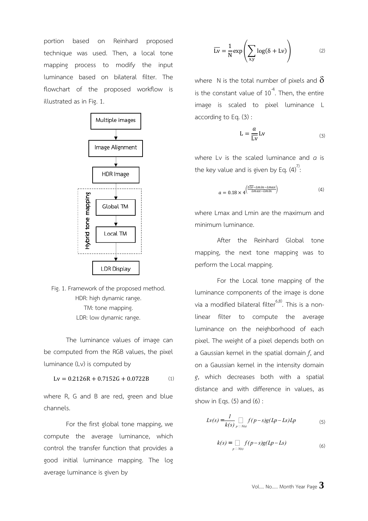portion based on Reinhard proposed technique was used. Then, a local tone mapping process to modify the input luminance based on bilateral filter. The flowchart of the proposed workflow is illustrated as in Fig. 1.





The luminance values of image can be computed from the RGB values, the pixel luminance (Lv) is computed by

 $Lv = 0.2126R + 0.7152G + 0.0722B$  (1)

where R, G and B are red, green and blue channels.

For the first global tone mapping, we compute the average luminance, which control the transfer function that provides a good initial luminance mapping. The log average luminance is given by

$$
\overline{\text{Lv}} = \frac{1}{N} \exp\left(\sum_{x,y} \log(\delta + \text{Lv})\right) \tag{2}
$$

where N is the total number of pixels and  $\delta$ is the constant value of  $10^{-4}$ . Then, the entire image is scaled to pixel luminance L according to Eq. (3) :

$$
L = \frac{a}{\overline{Lv}} Lv \tag{3}
$$

where Lv is the scaled luminance and *a* is the key value and is given by Eq.  $(4)$ <sup>".</sup>  $\vdots$ 

$$
a = 0.18 \times 4^{\left(\frac{2\overline{Lv} - Lmin - Lmax}{Lmax - Lmin}\right)} \tag{4}
$$

where Lmax and Lmin are the maximum and minimum luminance.

After the Reinhard Global tone mapping, the next tone mapping was to perform the Local mapping.

For the Local tone mapping of the luminance components of the image is done via a modified bilateral filter<sup>6,8)</sup>. This is a nonlinear filter to compute the average luminance on the neighborhood of each pixel. The weight of a pixel depends both on a Gaussian kernel in the spatial domain *f*, and on a Gaussian kernel in the intensity domain *g*, which decreases both with a spatial distance and with difference in values, as show in Eqs.  $(5)$  and  $(6)$ :

$$
Lv(s) = \frac{1}{k(s)} \prod_{p \in N(s)} f(p-s)g(Lp-Ls)Lp
$$
 (5)

$$
k(s) = \bigcap_{p \; \supset \; N(s)} f(p-s)g(Lp-Ls) \tag{6}
$$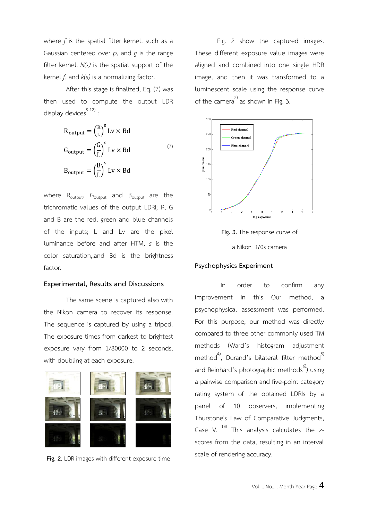where *f* is the spatial filter kernel, such as a Gaussian centered over *p*, and *g* is the range filter kernel. *N(s)* is the spatial support of the kernel *f*, and *k(s)* is a normalizing factor.

After this stage is finalized, Eq. (7) was then used to compute the output LDR display devices $9-12$ ): :

$$
R_{\text{output}} = \left(\frac{R}{L}\right)^s Lv \times Bd
$$
  

$$
G_{\text{output}} = \left(\frac{G}{L}\right)^s Lv \times Bd
$$
  

$$
B_{\text{output}} = \left(\frac{B}{L}\right)^s Lv \times Bd
$$
 (7)

where  $R_{\text{output}}$ ,  $G_{\text{output}}$  and  $B_{\text{output}}$  are the trichromatic values of the output LDRI; R, G and B are the red, green and blue channels of the inputs; L and Lv are the pixel luminance before and after HTM, *s* is the color saturation,.and Bd is the brightness factor.

## **Experimental, Results and Discussions**

The same scene is captured also with the Nikon camera to recover its response. The sequence is captured by using a tripod. The exposure times from darkest to brightest exposure vary from 1/80000 to 2 seconds, with doubling at each exposure.



**Fig. 2.** LDR images with different exposure time

Fig. 2 show the captured images. These different exposure value images were aligned and combined into one single HDR image, and then it was transformed to a luminescent scale using the response curve of the camera<sup>2)</sup> as shown in Fig. 3.



**Fig. 3.** The response curve of a Nikon D70s camera

### **Psychophysics Experiment**

In order to confirm any improvement in this Our method, a psychophysical assessment was performed. For this purpose, our method was directly compared to three other commonly used TM methods (Ward's histogram adjustment method<sup>4)</sup>, Durand's bilateral filter method<sup>5)</sup> and Reinhard's photographic methods<sup>6</sup>) using a pairwise comparison and five-point category rating system of the obtained LDRIs by a panel of 10 observers, implementing Thurstone's Law of Comparative Judgments, Case V.  $^{13)}$  This analysis calculates the zscores from the data, resulting in an interval scale of rendering accuracy.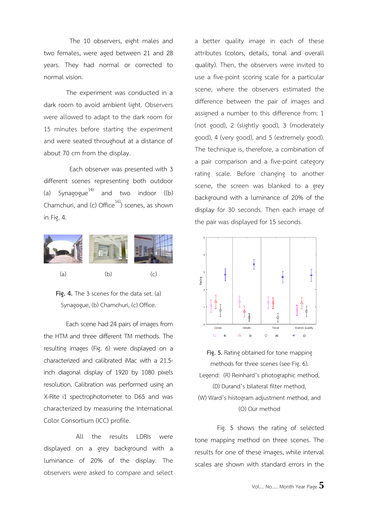The 10 observers, eight males and two females, were aged between 21 and 28 years. They had normal or corrected to normal vision.

The experiment was conducted in a dark room to avoid ambient light. Observers were allowed to adapt to the dark room for 15 minutes before starting the experiment and were seated throughout at a distance of about 70 cm from the display.

Each observer was presented with 3 different scenes representing both outdoor (a) Synagogue<sup>14)</sup> and two indoor  $((b)$ Chamchuri, and (c) Office<sup>16</sup>) scenes, as shown in Fig. 4.



**Fig. 4.** The 3 scenes for the data set. (a) Synagogue, (b) Chamchuri, (c) Office.

Each scene had 24 pairs of images from the HTM and three different TM methods. The resulting images (Fig. 6) were displayed on a characterized and calibrated iMac with a 21.5 inch diagonal display of 1920 by 1080 pixels resolution. Calibration was performed using an X-Rite i1 spectrophotometer to D65 and was characterized by measuring the International Color Consortium (ICC) profile.

All the results LDRIs were displayed on a grey background with a luminance of 20% of the display. The observers were asked to compare and select a better quality image in each of these attributes (colors, details, tonal and overall quality). Then, the observers were invited to use a five-point scoring scale for a particular scene, where the observers estimated the difference between the pair of images and assigned a number to this difference from: 1 (not good), 2 (slightly good), 3 (moderately good), 4 (very good), and 5 (extremely good). The technique is, therefore, a combination of a pair comparison and a five-point category rating scale. Before changing to another scene, the screen was blanked to a grey background with a luminance of 20% of the display for 30 seconds. Then each image of the pair was displayed for 15 seconds.



**Fig. 5.** Rating obtained for tone mapping methods for three scenes (see Fig. 6). Legend: (R) Reinhard's photographic method, (D) Durand's bilateral filter method, (W) Ward's histogram adjustment method, and (O) Our method

Fig. 5 shows the rating of selected tone mapping method on three scenes. The results for one of these images, while interval scales are shown with standard errors in the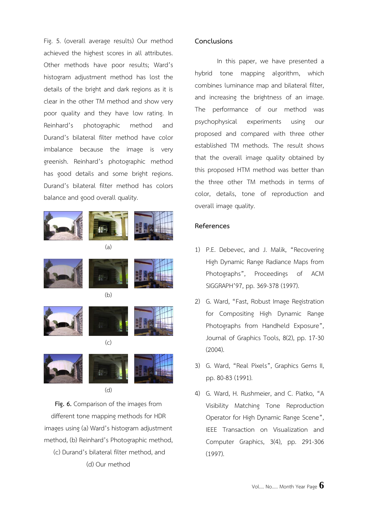Fig. 5. (overall average results) Our method achieved the highest scores in all attributes. Other methods have poor results; Ward's histogram adjustment method has lost the details of the bright and dark regions as it is clear in the other TM method and show very poor quality and they have low rating. In Reinhard's photographic method and Durand's bilateral filter method have color imbalance because the image is very greenish. Reinhard's photographic method has good details and some bright regions. Durand's bilateral filter method has colors balance and good overall quality.



 $(d)$ 

**Fig. 6.** Comparison of the images from different tone mapping methods for HDR images using (a) Ward's histogram adjustment method, (b) Reinhard's Photographic method, (c) Durand's bilateral filter method, and (d) Our method

# **Conclusions**

In this paper, we have presented a hybrid tone mapping algorithm, which combines luminance map and bilateral filter, and increasing the brightness of an image. The performance of our method was psychophysical experiments using our proposed and compared with three other established TM methods. The result shows that the overall image quality obtained by this proposed HTM method was better than the three other TM methods in terms of color, details, tone of reproduction and overall image quality.

## **References**

- 1) P.E. Debevec, and J. Malik, "Recovering High Dynamic Range Radiance Maps from Photographs", Proceedings of ACM SIGGRAPH'97, pp. 369-378 (1997).
- 2) G. Ward, "Fast, Robust Image Registration for Compositing High Dynamic Range Photographs from Handheld Exposure", Journal of Graphics Tools, 8(2), pp. 17-30 (2004).
- 3) G. Ward, "Real Pixels", Graphics Gems II, pp. 80-83 (1991).
- 4) G. Ward, H. Rushmeier, and C. Piatko, "A Visibility Matching Tone Reproduction Operator for High Dynamic Range Scene", IEEE Transaction on Visualization and Computer Graphics, 3(4), pp. 291-306 (1997).